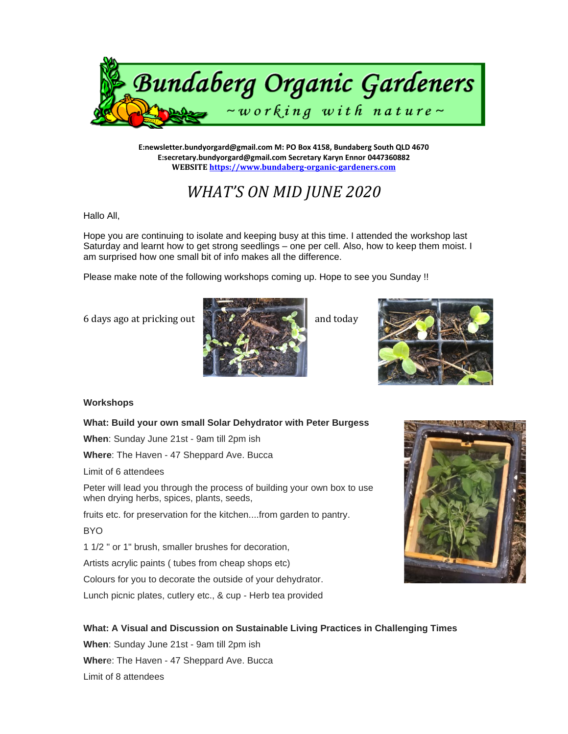

**E:newsletter.bundyorgard@gmail.com M: PO Box 4158, Bundaberg South QLD 4670 E:secretary.bundyorgard@gmail.com Secretary Karyn Ennor 0447360882 WEBSIT[E https://www.bundaberg-organic-gardeners.com](https://www.bundaberg-organic-gardeners.com/)**

# *WHAT'S ON MID JUNE 2020*

Hallo All,

Hope you are continuing to isolate and keeping busy at this time. I attended the workshop last Saturday and learnt how to get strong seedlings – one per cell. Also, how to keep them moist. I am surprised how one small bit of info makes all the difference.

Please make note of the following workshops coming up. Hope to see you Sunday !!





## **Workshops**

## **What: Build your own small Solar Dehydrator with Peter Burgess**

**When**: Sunday June 21st - 9am till 2pm ish

**Where**: The Haven - 47 Sheppard Ave. Bucca

Limit of 6 attendees

Peter will lead you through the process of building your own box to use when drying herbs, spices, plants, seeds,

fruits etc. for preservation for the kitchen....from garden to pantry.

BYO

1 1/2 " or 1" brush, smaller brushes for decoration,

Artists acrylic paints ( tubes from cheap shops etc)

Colours for you to decorate the outside of your dehydrator.

Lunch picnic plates, cutlery etc., & cup - Herb tea provided



## **What: A Visual and Discussion on Sustainable Living Practices in Challenging Times**

**When**: Sunday June 21st - 9am till 2pm ish **Wher**e: The Haven - 47 Sheppard Ave. Bucca Limit of 8 attendees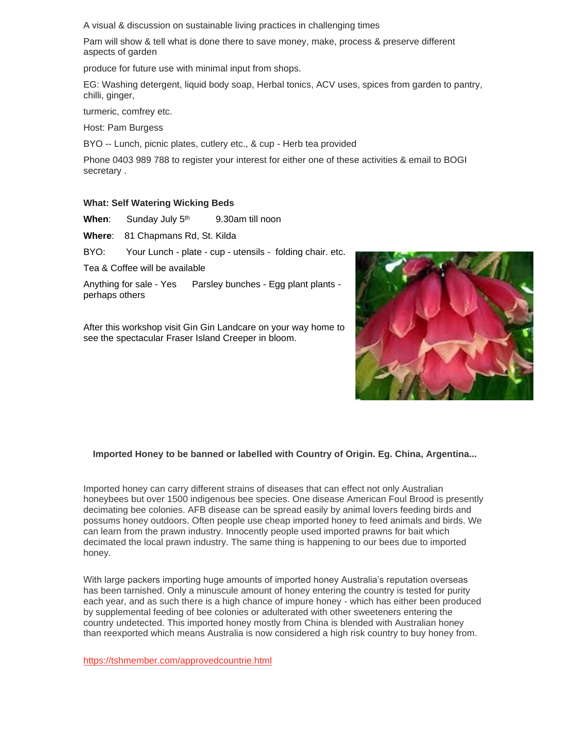A visual & discussion on sustainable living practices in challenging times

Pam will show & tell what is done there to save money, make, process & preserve different aspects of garden

produce for future use with minimal input from shops.

EG: Washing detergent, liquid body soap, Herbal tonics, ACV uses, spices from garden to pantry, chilli, ginger,

turmeric, comfrey etc.

Host: Pam Burgess

BYO -- Lunch, picnic plates, cutlery etc., & cup - Herb tea provided

Phone 0403 989 788 to register your interest for either one of these activities & email to BOGI secretary .

#### **What: Self Watering Wicking Beds**

When: Sunday July 5<sup>th</sup> 9.30am till noon

**Where**: 81 Chapmans Rd, St. Kilda

BYO: Your Lunch - plate - cup - utensils - folding chair. etc.

Tea & Coffee will be available

Anything for sale - Yes Parsley bunches - Egg plant plants perhaps others

After this workshop visit Gin Gin Landcare on your way home to see the spectacular Fraser Island Creeper in bloom.



## **Imported Honey to be banned or labelled with Country of Origin. Eg. China, Argentina...**

Imported honey can carry different strains of diseases that can effect not only Australian honeybees but over 1500 indigenous bee species. One disease American Foul Brood is presently decimating bee colonies. AFB disease can be spread easily by animal lovers feeding birds and possums honey outdoors. Often people use cheap imported honey to feed animals and birds. We can learn from the prawn industry. Innocently people used imported prawns for bait which decimated the local prawn industry. The same thing is happening to our bees due to imported honey.

With large packers importing huge amounts of imported honey Australia's reputation overseas has been tarnished. Only a minuscule amount of honey entering the country is tested for purity each year, and as such there is a high chance of impure honey - which has either been produced by supplemental feeding of bee colonies or adulterated with other sweeteners entering the country undetected. This imported honey mostly from China is blended with Australian honey than reexported which means Australia is now considered a high risk country to buy honey from.

<https://tshmember.com/approvedcountrie.html>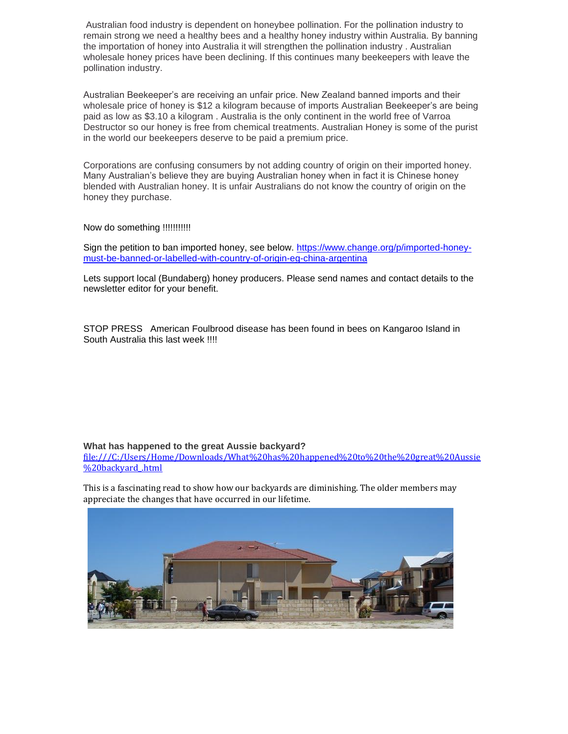Australian food industry is dependent on honeybee pollination. For the pollination industry to remain strong we need a healthy bees and a healthy honey industry within Australia. By banning the importation of honey into Australia it will strengthen the pollination industry . Australian wholesale honey prices have been declining. If this continues many beekeepers with leave the pollination industry.

Australian Beekeeper's are receiving an unfair price. New Zealand banned imports and their wholesale price of honey is \$12 a kilogram because of imports Australian Beekeeper's are being paid as low as \$3.10 a kilogram . Australia is the only continent in the world free of Varroa Destructor so our honey is free from chemical treatments. Australian Honey is some of the purist in the world our beekeepers deserve to be paid a premium price.

Corporations are confusing consumers by not adding country of origin on their imported honey. Many Australian's believe they are buying Australian honey when in fact it is Chinese honey blended with Australian honey. It is unfair Australians do not know the country of origin on the honey they purchase.

### Now do something !!!!!!!!!!!

Sign the petition to ban imported honey, see below. [https://www.change.org/p/imported-honey](https://www.change.org/p/imported-honey-must-be-banned-or-labelled-with-country-of-origin-eg-china-argentina)[must-be-banned-or-labelled-with-country-of-origin-eg-china-argentina](https://www.change.org/p/imported-honey-must-be-banned-or-labelled-with-country-of-origin-eg-china-argentina)

Lets support local (Bundaberg) honey producers. Please send names and contact details to the newsletter editor for your benefit.

STOP PRESS American Foulbrood disease has been found in bees on Kangaroo Island in South Australia this last week !!!!

#### **What has happened to the great Aussie backyard?**

[file:///C:/Users/Home/Downloads/What%20has%20happened%20to%20the%20great%20Aussie](file:///C:/Users/Home/Downloads/What%20has%20happened%20to%20the%20great%20Aussie%20backyard_.html) [%20backyard\\_.html](file:///C:/Users/Home/Downloads/What%20has%20happened%20to%20the%20great%20Aussie%20backyard_.html)

This is a fascinating read to show how our backyards are diminishing. The older members may appreciate the changes that have occurred in our lifetime.